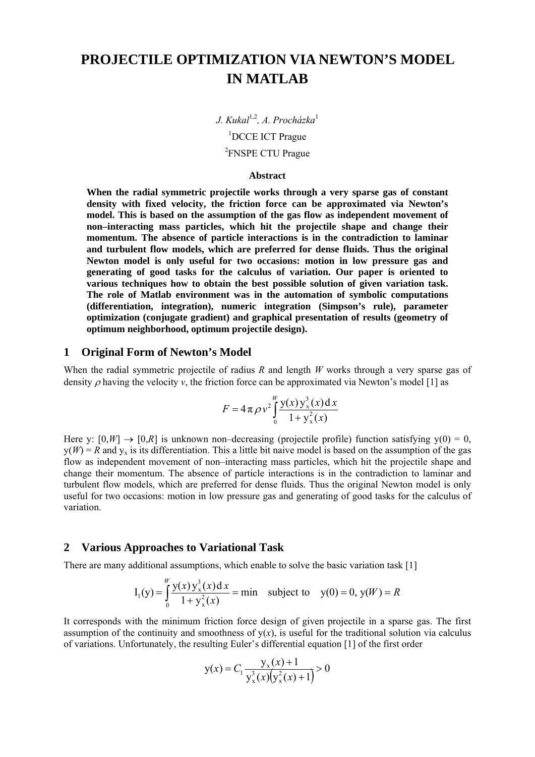# **PROJECTILE OPTIMIZATION VIA NEWTON'S MODEL IN MATLAB**

*J. Kukal*1,2*, A. Procházka*<sup>1</sup> 1 DCCE ICT Prague <sup>2</sup>FNSPE CTU Prague

#### **Abstract**

**When the radial symmetric projectile works through a very sparse gas of constant density with fixed velocity, the friction force can be approximated via Newton's model. This is based on the assumption of the gas flow as independent movement of non–interacting mass particles, which hit the projectile shape and change their momentum. The absence of particle interactions is in the contradiction to laminar and turbulent flow models, which are preferred for dense fluids. Thus the original Newton model is only useful for two occasions: motion in low pressure gas and generating of good tasks for the calculus of variation. Our paper is oriented to various techniques how to obtain the best possible solution of given variation task. The role of Matlab environment was in the automation of symbolic computations (differentiation, integration), numeric integration (Simpson's rule), parameter optimization (conjugate gradient) and graphical presentation of results (geometry of optimum neighborhood, optimum projectile design).** 

# **1 Original Form of Newton's Model**

When the radial symmetric projectile of radius *R* and length *W* works through a very sparse gas of density  $\rho$  having the velocity  $\nu$ , the friction force can be approximated via Newton's model [1] as

$$
F = 4\pi \rho v^2 \int_0^w \frac{y(x) y_x^3(x) dx}{1 + y_x^2(x)}
$$

Here y:  $[0, W] \rightarrow [0, R]$  is unknown non–decreasing (projectile profile) function satisfying  $y(0) = 0$ ,  $y(W) = R$  and  $y_x$  is its differentiation. This a little bit naive model is based on the assumption of the gas flow as independent movement of non–interacting mass particles, which hit the projectile shape and change their momentum. The absence of particle interactions is in the contradiction to laminar and turbulent flow models, which are preferred for dense fluids. Thus the original Newton model is only useful for two occasions: motion in low pressure gas and generating of good tasks for the calculus of variation.

#### **2 Various Approaches to Variational Task**

*W*

There are many additional assumptions, which enable to solve the basic variation task [1]

$$
I_1(y) = \int_0^w \frac{y(x) y_x^3(x) dx}{1 + y_x^2(x)} = \min \text{ subject to } y(0) = 0, y(W) = R
$$

It corresponds with the minimum friction force design of given projectile in a sparse gas. The first assumption of the continuity and smoothness of  $y(x)$ , is useful for the traditional solution via calculus of variations. Unfortunately, the resulting Euler's differential equation [1] of the first order

$$
y(x) = C_1 \frac{y_x(x) + 1}{y_x^3(x)(y_x^2(x) + 1)} > 0
$$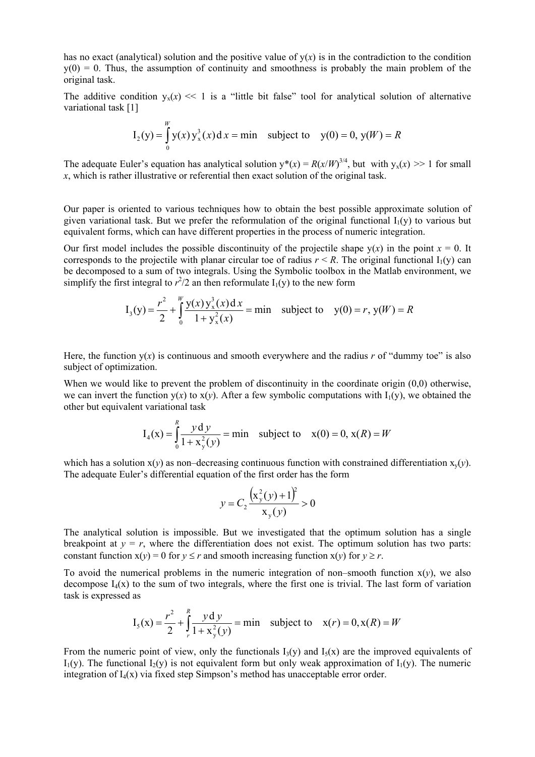has no exact (analytical) solution and the positive value of  $y(x)$  is in the contradiction to the condition  $y(0) = 0$ . Thus, the assumption of continuity and smoothness is probably the main problem of the original task.

The additive condition  $y_x(x) \ll 1$  is a "little bit false" tool for analytical solution of alternative variational task [1]

*W*

*W*

*R*

$$
I_2(y) = \int_0^w y(x) y_x^3(x) dx = \min \text{ subject to } y(0) = 0, y(W) = R
$$

The adequate Euler's equation has analytical solution  $y^*(x) = R(x/W)^{3/4}$ , but with  $y_x(x) >> 1$  for small *x*, which is rather illustrative or referential then exact solution of the original task.

Our paper is oriented to various techniques how to obtain the best possible approximate solution of given variational task. But we prefer the reformulation of the original functional  $I_1(y)$  to various but equivalent forms, which can have different properties in the process of numeric integration.

Our first model includes the possible discontinuity of the projectile shape  $y(x)$  in the point  $x = 0$ . It corresponds to the projectile with planar circular toe of radius  $r \leq R$ . The original functional  $I_1(v)$  can be decomposed to a sum of two integrals. Using the Symbolic toolbox in the Matlab environment, we simplify the first integral to  $r^2/2$  an then reformulate  $I_1(y)$  to the new form

$$
I_3(y) = \frac{r^2}{2} + \int_0^w \frac{y(x) y_x^3(x) dx}{1 + y_x^2(x)} = \min \text{ subject to } y(0) = r, y(W) = R
$$

Here, the function  $v(x)$  is continuous and smooth everywhere and the radius *r* of "dummy toe" is also subject of optimization.

When we would like to prevent the problem of discontinuity in the coordinate origin (0,0) otherwise, we can invert the function  $y(x)$  to  $x(y)$ . After a few symbolic computations with  $I_1(y)$ , we obtained the other but equivalent variational task

$$
I_4(x) = \int_0^R \frac{y dy}{1 + x_y^2(y)} = \min
$$
 subject to  $x(0) = 0, x(R) = W$ 

which has a solution  $x(y)$  as non–decreasing continuous function with constrained differentiation  $x_y(y)$ . The adequate Euler's differential equation of the first order has the form

$$
y = C_2 \frac{(x_y^2(y) + 1)^2}{x_y(y)} > 0
$$

The analytical solution is impossible. But we investigated that the optimum solution has a single breakpoint at  $y = r$ , where the differentiation does not exist. The optimum solution has two parts: constant function  $x(y) = 0$  for  $y \le r$  and smooth increasing function  $x(y)$  for  $y \ge r$ .

To avoid the numerical problems in the numeric integration of non–smooth function  $x(y)$ , we also decompose  $I_4(x)$  to the sum of two integrals, where the first one is trivial. The last form of variation task is expressed as

$$
I_5(x) = \frac{r^2}{2} + \int_{r}^{R} \frac{y \, dy}{1 + x_y^2(y)} = \min \text{ subject to } x(r) = 0, x(R) = W
$$

From the numeric point of view, only the functionals  $I_3(y)$  and  $I_5(x)$  are the improved equivalents of  $I_1(y)$ . The functional  $I_2(y)$  is not equivalent form but only weak approximation of  $I_1(y)$ . The numeric integration of  $L(x)$  via fixed step Simpson's method has unacceptable error order.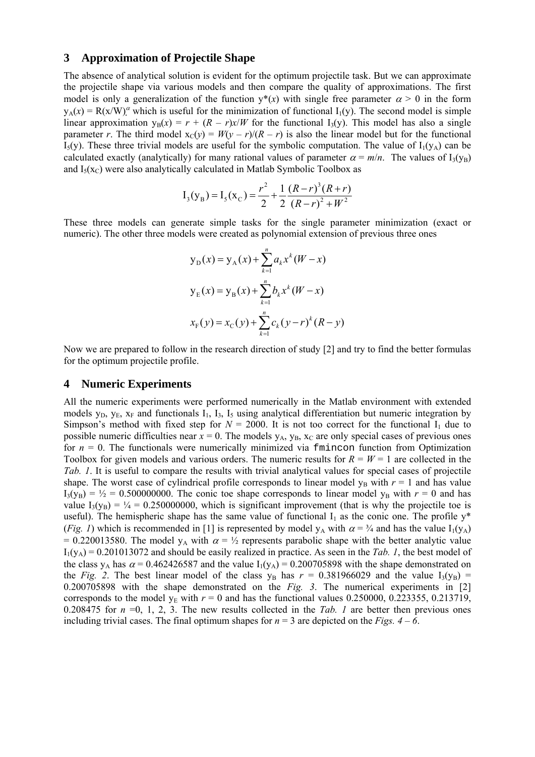## **3 Approximation of Projectile Shape**

The absence of analytical solution is evident for the optimum projectile task. But we can approximate the projectile shape via various models and then compare the quality of approximations. The first model is only a generalization of the function  $y^*(x)$  with single free parameter  $\alpha > 0$  in the form  $y_A(x) = R(x/W)^{\alpha}$  which is useful for the minimization of functional  $I_1(y)$ . The second model is simple linear approximation  $y_B(x) = r + (R - r)x/W$  for the functional  $I_3(y)$ . This model has also a single parameter *r*. The third model  $x_C(y) = W(y - r)/(R - r)$  is also the linear model but for the functional  $I_5(y)$ . These three trivial models are useful for the symbolic computation. The value of  $I_1(y_A)$  can be calculated exactly (analytically) for many rational values of parameter  $\alpha = m/n$ . The values of I<sub>3</sub>(y<sub>B</sub>) and  $I_5(x_C)$  were also analytically calculated in Matlab Symbolic Toolbox as

$$
I_3(y_B) = I_5(x_C) = \frac{r^2}{2} + \frac{1}{2} \frac{(R-r)^3 (R+r)}{(R-r)^2 + W^2}
$$

These three models can generate simple tasks for the single parameter minimization (exact or numeric). The other three models were created as polynomial extension of previous three ones

$$
y_{D}(x) = y_{A}(x) + \sum_{k=1}^{n} a_{k}x^{k} (W - x)
$$
  

$$
y_{E}(x) = y_{B}(x) + \sum_{k=1}^{n} b_{k}x^{k} (W - x)
$$
  

$$
x_{E}(y) = x_{C}(y) + \sum_{k=1}^{n} c_{k} (y - r)^{k} (R - y)
$$

Now we are prepared to follow in the research direction of study [2] and try to find the better formulas for the optimum projectile profile.

### **4 Numeric Experiments**

All the numeric experiments were performed numerically in the Matlab environment with extended models  $y_D$ ,  $y_E$ ,  $x_F$  and functionals  $I_1$ ,  $I_3$ ,  $I_5$  using analytical differentiation but numeric integration by Simpson's method with fixed step for  $N = 2000$ . It is not too correct for the functional  $I_1$  due to possible numeric difficulties near  $x = 0$ . The models  $y_A$ ,  $y_B$ ,  $x_C$  are only special cases of previous ones for  $n = 0$ . The functionals were numerically minimized via finite on function from Optimization Toolbox for given models and various orders. The numeric results for  $R = W = 1$  are collected in the *Tab. 1*. It is useful to compare the results with trivial analytical values for special cases of projectile shape. The worst case of cylindrical profile corresponds to linear model  $y_B$  with  $r = 1$  and has value  $I_3(y_B) = \frac{1}{2} = 0.500000000$ . The conic toe shape corresponds to linear model  $y_B$  with  $r = 0$  and has value  $I_3(y_B) = \frac{1}{4} = 0.250000000$ , which is significant improvement (that is why the projectile toe is useful). The hemispheric shape has the same value of functional  $I_1$  as the conic one. The profile  $y^*$ (*Fig. 1*) which is recommended in [1] is represented by model  $y_A$  with  $\alpha = \frac{3}{4}$  and has the value  $I_1(y_A)$ = 0.220013580. The model  $y_A$  with  $\alpha = \frac{1}{2}$  represents parabolic shape with the better analytic value  $I_1(y_A) = 0.201013072$  and should be easily realized in practice. As seen in the *Tab. 1*, the best model of the class  $y_A$  has  $\alpha$  = 0.462426587 and the value  $I_1(y_A)$  = 0.200705898 with the shape demonstrated on the *Fig.* 2. The best linear model of the class  $y_B$  has  $r = 0.381966029$  and the value  $I_3(y_B)$  = 0.200705898 with the shape demonstrated on the *Fig. 3*. The numerical experiments in [2] corresponds to the model  $y_E$  with  $r = 0$  and has the functional values 0.250000, 0.223355, 0.213719, 0.208475 for  $n = 0$ , 1, 2, 3. The new results collected in the *Tab. 1* are better then previous ones including trivial cases. The final optimum shapes for  $n = 3$  are depicted on the *Figs.*  $4 - 6$ .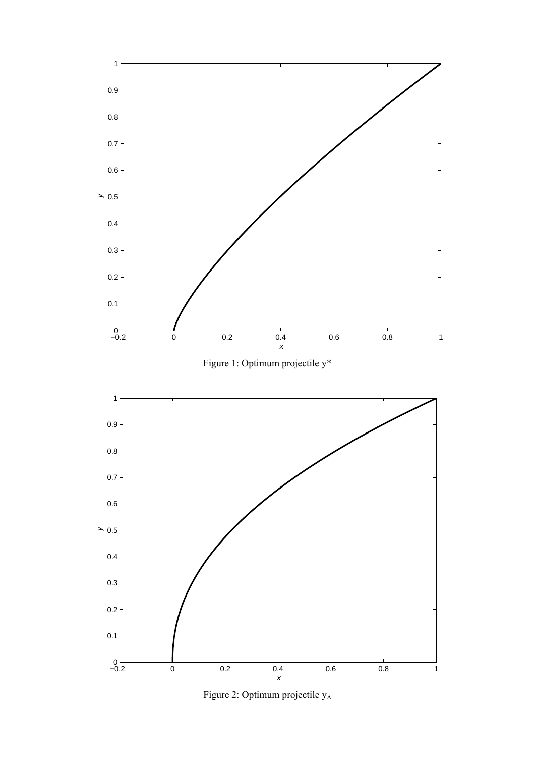

Figure 2: Optimum projectile  $y_A$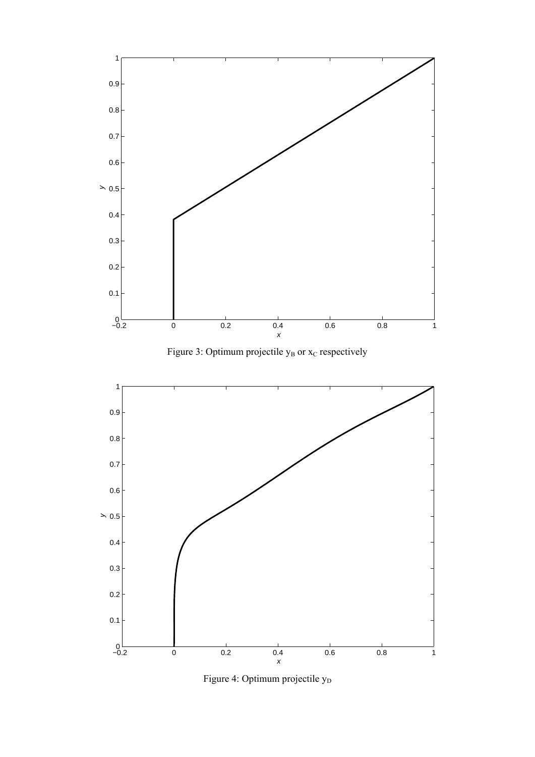





Figure 4: Optimum projectile  $y_D$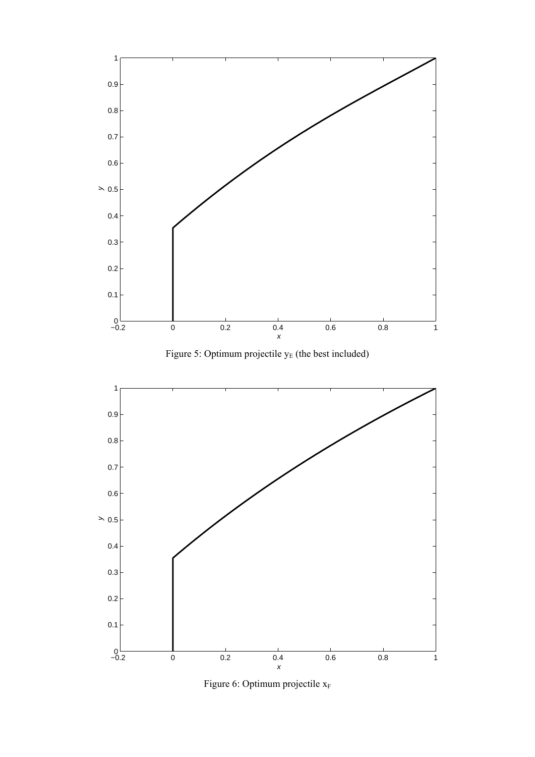![](_page_5_Figure_0.jpeg)

![](_page_5_Figure_1.jpeg)

![](_page_5_Figure_2.jpeg)

Figure 6: Optimum projectile  $x_F$